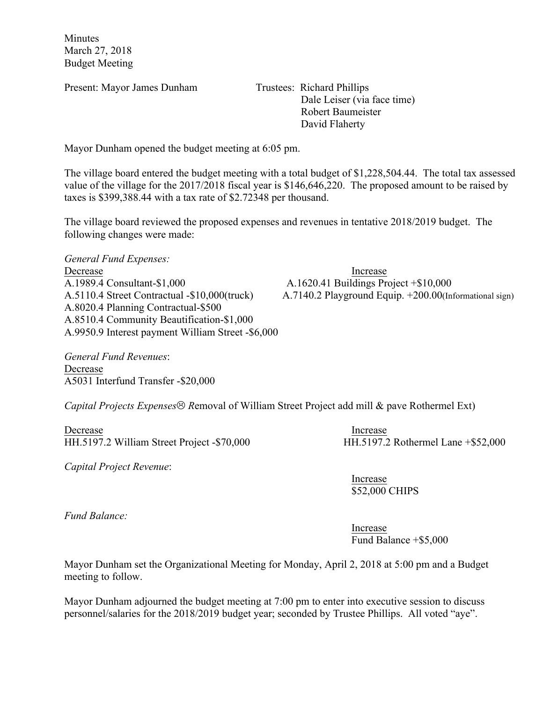Minutes March 27, 2018 Budget Meeting

Present: Mayor James Dunham Trustees: Richard Phillips

 Dale Leiser (via face time) Robert Baumeister David Flaherty

Mayor Dunham opened the budget meeting at 6:05 pm.

The village board entered the budget meeting with a total budget of \$1,228,504.44. The total tax assessed value of the village for the 2017/2018 fiscal year is \$146,646,220. The proposed amount to be raised by taxes is \$399,388.44 with a tax rate of \$2.72348 per thousand.

The village board reviewed the proposed expenses and revenues in tentative 2018/2019 budget. The following changes were made:

*General Fund Expenses:*

Decrease Increase Increase A.1989.4 Consultant-\$1,000 A.1620.41 Buildings Project +\$10,000 A.8020.4 Planning Contractual-\$500 A.8510.4 Community Beautification-\$1,000 A.9950.9 Interest payment William Street -\$6,000

*General Fund Revenues*: Decrease A5031 Interfund Transfer -\$20,000

A.5110.4 Street Contractual -\$10,000(truck) A.7140.2 Playground Equip. +200.00(Informational sign)

*Capital Projects Expenses*<sup>
</sub>  $\odot$  *Removal of William Street Project add mill & pave Rothermel Ext)*</sup>

Decrease Increase HH.5197.2 William Street Project -\$70,000 HH.5197.2 Rothermel Lane +\$52,000

*Capital Project Revenue*:

Increase \$52,000 CHIPS

*Fund Balance:*

Increase Fund Balance +\$5,000

Mayor Dunham set the Organizational Meeting for Monday, April 2, 2018 at 5:00 pm and a Budget meeting to follow.

Mayor Dunham adjourned the budget meeting at 7:00 pm to enter into executive session to discuss personnel/salaries for the 2018/2019 budget year; seconded by Trustee Phillips. All voted "aye".